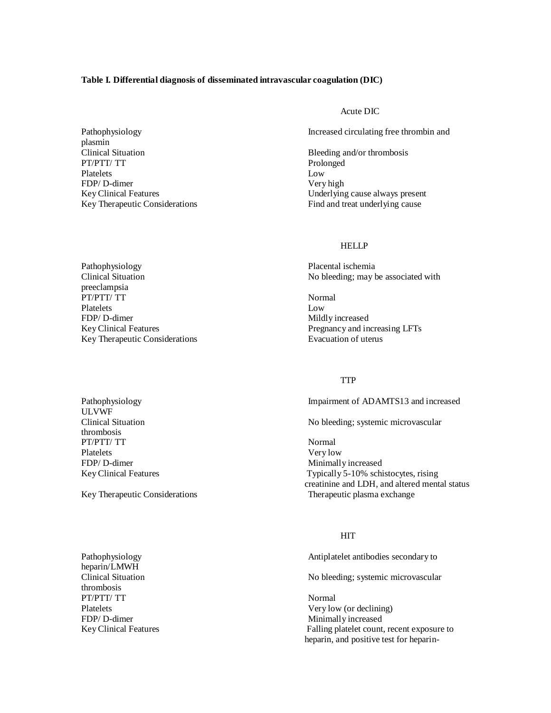### **Table I. Differential diagnosis of disseminated intravascular coagulation (DIC)**

plasmin Clinical Situation Bleeding and/or thrombosis PT/PTT/ TT Prolonged Platelets Low FDP/ D-dimer Very high Very high Very high Very high Very high Very high Very high Very high Very high Very high Very high Very high Very high Very high Very high Very high Very high Very high Very high Very high Very high

#### Acute DIC

Pathophysiology **Increased circulating free thrombin and** 

Underlying cause always present Key Therapeutic Considerations Find and treat underlying cause

## HELLP

Pathophysiology Placental ischemia Clinical Situation No bleeding; may be associated with

Key Clinical Features **Pregnancy and increasing LFTs** 

## TTP

Pathophysiology **Impairment of ADAMTS13** and increased

No bleeding; systemic microvascular

Key Clinical Features Typically 5-10% schistocytes, rising creatinine and LDH, and altered mental status Key Therapeutic Considerations Therapeutic plasma exchange

#### HIT

Pathophysiology Antiplatelet antibodies secondary to

Clinical Situation No bleeding; systemic microvascular

Platelets Very low (or declining) FDP/ D-dimer Minimally increased Key Clinical Features Falling platelet count, recent exposure to heparin, and positive test for heparin-

preeclampsia PT/PTT/ TT Platelets Low FDP/ D-dimer Mildly increased Key Therapeutic Considerations **Evacuation Constraints** Evacuation of uterus

ULVWF thrombosis PT/PTT/ TT Normal Platelets Very low FDP/ D-dimer Minimally increased

heparin/LMWH thrombosis PT/PTT/ TT Normal